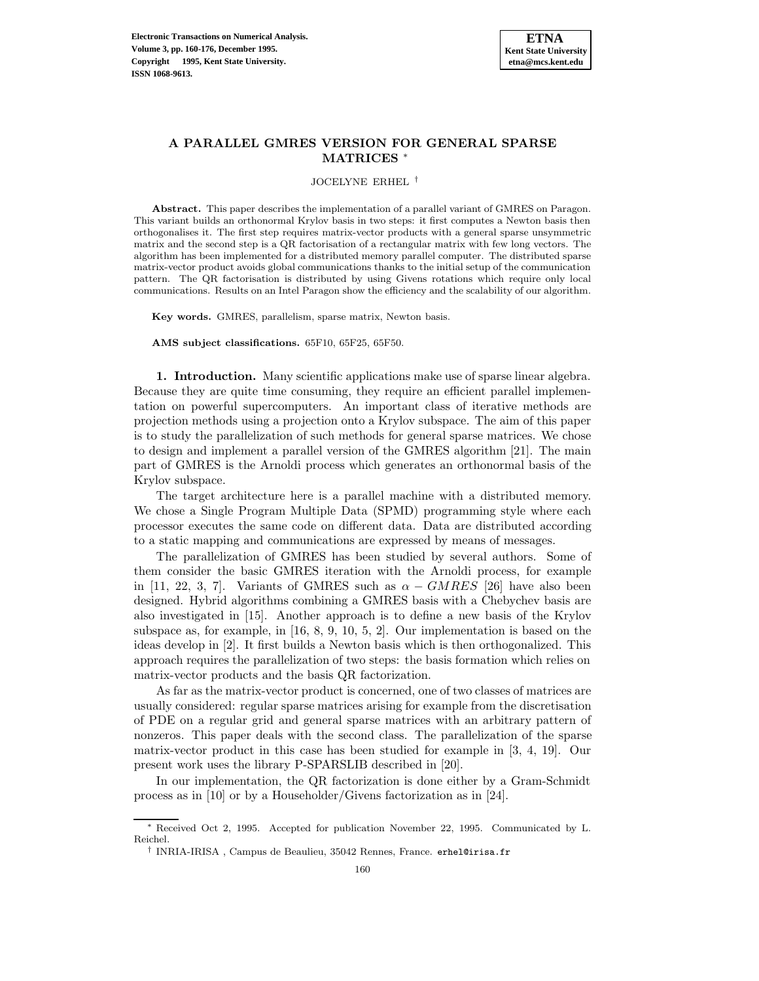

### **A PARALLEL GMRES VERSION FOR GENERAL SPARSE MATRICES** <sup>∗</sup>

JOCELYNE ERHEL †

**Abstract.** This paper describes the implementation of a parallel variant of GMRES on Paragon. This variant builds an orthonormal Krylov basis in two steps: it first computes a Newton basis then orthogonalises it. The first step requires matrix-vector products with a general sparse unsymmetric matrix and the second step is a QR factorisation of a rectangular matrix with few long vectors. The algorithm has been implemented for a distributed memory parallel computer. The distributed sparse matrix-vector product avoids global communications thanks to the initial setup of the communication pattern. The QR factorisation is distributed by using Givens rotations which require only local communications. Results on an Intel Paragon show the efficiency and the scalability of our algorithm.

**Key words.** GMRES, parallelism, sparse matrix, Newton basis.

**AMS subject classifications.** 65F10, 65F25, 65F50.

**1. Introduction.** Many scientific applications make use of sparse linear algebra. Because they are quite time consuming, they require an efficient parallel implementation on powerful supercomputers. An important class of iterative methods are projection methods using a projection onto a Krylov subspace. The aim of this paper is to study the parallelization of such methods for general sparse matrices. We chose to design and implement a parallel version of the GMRES algorithm [21]. The main part of GMRES is the Arnoldi process which generates an orthonormal basis of the Krylov subspace.

The target architecture here is a parallel machine with a distributed memory. We chose a Single Program Multiple Data (SPMD) programming style where each processor executes the same code on different data. Data are distributed according to a static mapping and communications are expressed by means of messages.

The parallelization of GMRES has been studied by several authors. Some of them consider the basic GMRES iteration with the Arnoldi process, for example in [11, 22, 3, 7]. Variants of GMRES such as  $\alpha - GMRES$  [26] have also been designed. Hybrid algorithms combining a GMRES basis with a Chebychev basis are also investigated in [15]. Another approach is to define a new basis of the Krylov subspace as, for example, in [16, 8, 9, 10, 5, 2]. Our implementation is based on the ideas develop in [2]. It first builds a Newton basis which is then orthogonalized. This approach requires the parallelization of two steps: the basis formation which relies on matrix-vector products and the basis QR factorization.

As far as the matrix-vector product is concerned, one of two classes of matrices are usually considered: regular sparse matrices arising for example from the discretisation of PDE on a regular grid and general sparse matrices with an arbitrary pattern of nonzeros. This paper deals with the second class. The parallelization of the sparse matrix-vector product in this case has been studied for example in [3, 4, 19]. Our present work uses the library P-SPARSLIB described in [20].

In our implementation, the QR factorization is done either by a Gram-Schmidt process as in [10] or by a Householder/Givens factorization as in [24].

<sup>∗</sup> Received Oct 2, 1995. Accepted for publication November 22, 1995. Communicated by L. Reichel.

<sup>†</sup> INRIA-IRISA , Campus de Beaulieu, 35042 Rennes, France. erhel@irisa.fr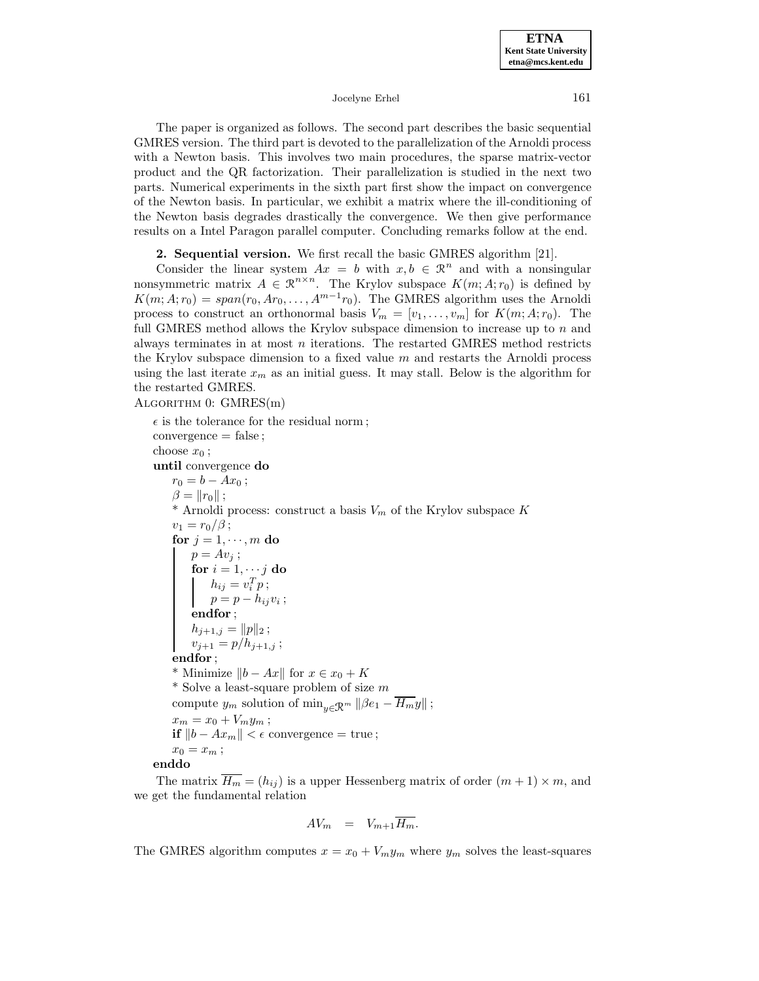The paper is organized as follows. The second part describes the basic sequential GMRES version. The third part is devoted to the parallelization of the Arnoldi process with a Newton basis. This involves two main procedures, the sparse matrix-vector product and the QR factorization. Their parallelization is studied in the next two parts. Numerical experiments in the sixth part first show the impact on convergence of the Newton basis. In particular, we exhibit a matrix where the ill-conditioning of the Newton basis degrades drastically the convergence. We then give performance results on a Intel Paragon parallel computer. Concluding remarks follow at the end.

**2. Sequential version.** We first recall the basic GMRES algorithm [21].

Consider the linear system  $Ax = b$  with  $x, b \in \mathbb{R}^n$  and with a nonsingular nonsymmetric matrix  $A \in \mathbb{R}^{n \times n}$ . The Krylov subspace  $K(m; A; r_0)$  is defined by  $K(m; A; r_0) = span(r_0, Ar_0, \ldots, A^{m-1}r_0)$ . The GMRES algorithm uses the Arnoldi process to construct an orthonormal basis  $V_m = [v_1, \ldots, v_m]$  for  $K(m; A; r_0)$ . The full GMRES method allows the Krylov subspace dimension to increase up to  $n$  and always terminates in at most  $n$  iterations. The restarted GMRES method restricts the Krylov subspace dimension to a fixed value  $m$  and restarts the Arnoldi process using the last iterate  $x_m$  as an initial guess. It may stall. Below is the algorithm for the restarted GMRES.

Algorithm 0: GMRES(m)

 $\epsilon$  is the tolerance for the residual norm; convergence = false ; choose  $x_0$ ; **until** convergence **do**  $r_0 = b - Ax_0;$  $\beta = ||r_0||$ ; \* Arnoldi process: construct a basis  $V_m$  of the Krylov subspace K  $v_1 = r_0/\beta$ ; **for**  $j = 1, \dots, m$  **do**  $p = Av_i;$  $\mathbf{for}~i=1,\cdots j~\mathbf{do}$  $h_{ij} = v_i^T p;$  $p = p - h_{ij}v_i;$ **endfor** ;  $h_{j+1,j} = ||p||_2;$  $v_{j+1} = p/h_{j+1,j}$ ; **endfor** ; \* Minimize  $||b - Ax||$  for  $x \in x_0 + K$  $^\ast$  Solve a least-square problem of size  $m$ compute  $y_m$  solution of  $\min_{y \in \mathcal{R}^m} ||\beta e_1 - H_m y||$ ;  $x_m = x_0 + V_m y_m;$ **if**  $||b - Ax_m|| < \epsilon$  convergence = true;  $x_0 = x_m;$ **enddo**

The matrix  $\overline{H_m} = (h_{ij})$  is a upper Hessenberg matrix of order  $(m + 1) \times m$ , and we get the fundamental relation

$$
AV_m = V_{m+1} \overline{H_m}.
$$

The GMRES algorithm computes  $x = x_0 + V_m y_m$  where  $y_m$  solves the least-squares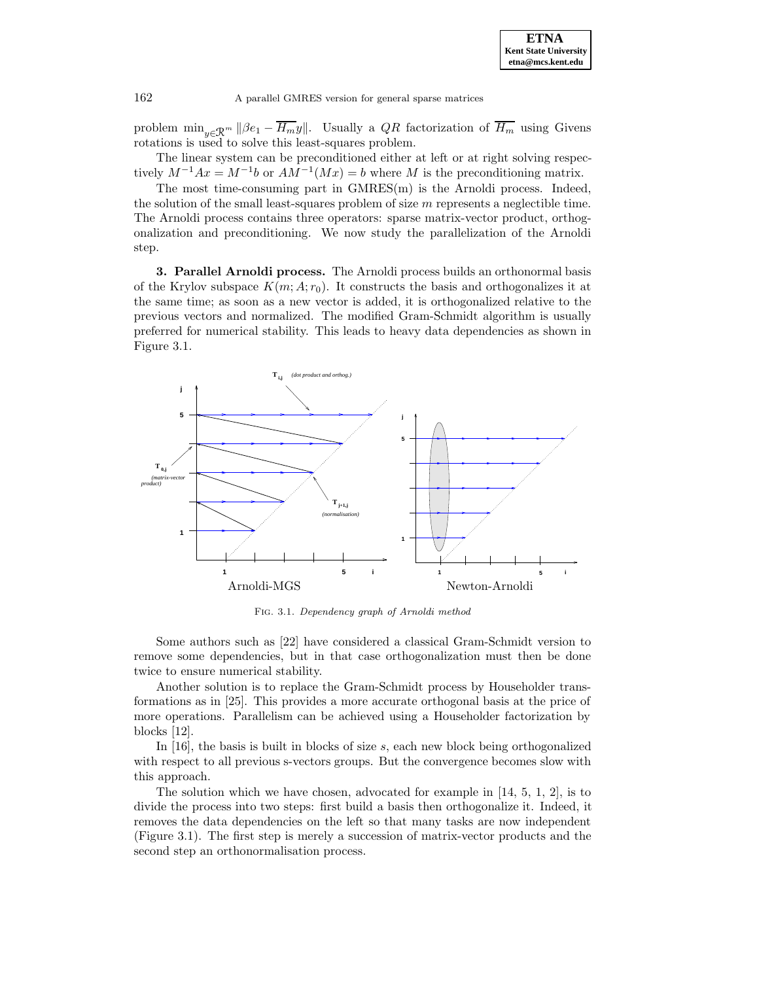

problem  $\min_{y \in \mathcal{R}^m} ||\beta e_1 - \overline{H_m}y||$ . Usually a QR factorization of  $\overline{H_m}$  using Givens rotations is used to solve this least-squares problem.

The linear system can be preconditioned either at left or at right solving respectively  $M^{-1}Ax = M^{-1}b$  or  $AM^{-1}(Mx) = b$  where M is the preconditioning matrix.

The most time-consuming part in GMRES(m) is the Arnoldi process. Indeed, the solution of the small least-squares problem of size  $m$  represents a neglectible time. The Arnoldi process contains three operators: sparse matrix-vector product, orthogonalization and preconditioning. We now study the parallelization of the Arnoldi step.

**3. Parallel Arnoldi process.** The Arnoldi process builds an orthonormal basis of the Krylov subspace  $K(m; A; r_0)$ . It constructs the basis and orthogonalizes it at the same time; as soon as a new vector is added, it is orthogonalized relative to the previous vectors and normalized. The modified Gram-Schmidt algorithm is usually preferred for numerical stability. This leads to heavy data dependencies as shown in Figure 3.1.



Fig. 3.1. Dependency graph of Arnoldi method

Some authors such as [22] have considered a classical Gram-Schmidt version to remove some dependencies, but in that case orthogonalization must then be done twice to ensure numerical stability.

Another solution is to replace the Gram-Schmidt process by Householder transformations as in [25]. This provides a more accurate orthogonal basis at the price of more operations. Parallelism can be achieved using a Householder factorization by blocks [12].

In  $[16]$ , the basis is built in blocks of size s, each new block being orthogonalized with respect to all previous s-vectors groups. But the convergence becomes slow with this approach.

The solution which we have chosen, advocated for example in [14, 5, 1, 2], is to divide the process into two steps: first build a basis then orthogonalize it. Indeed, it removes the data dependencies on the left so that many tasks are now independent (Figure 3.1). The first step is merely a succession of matrix-vector products and the second step an orthonormalisation process.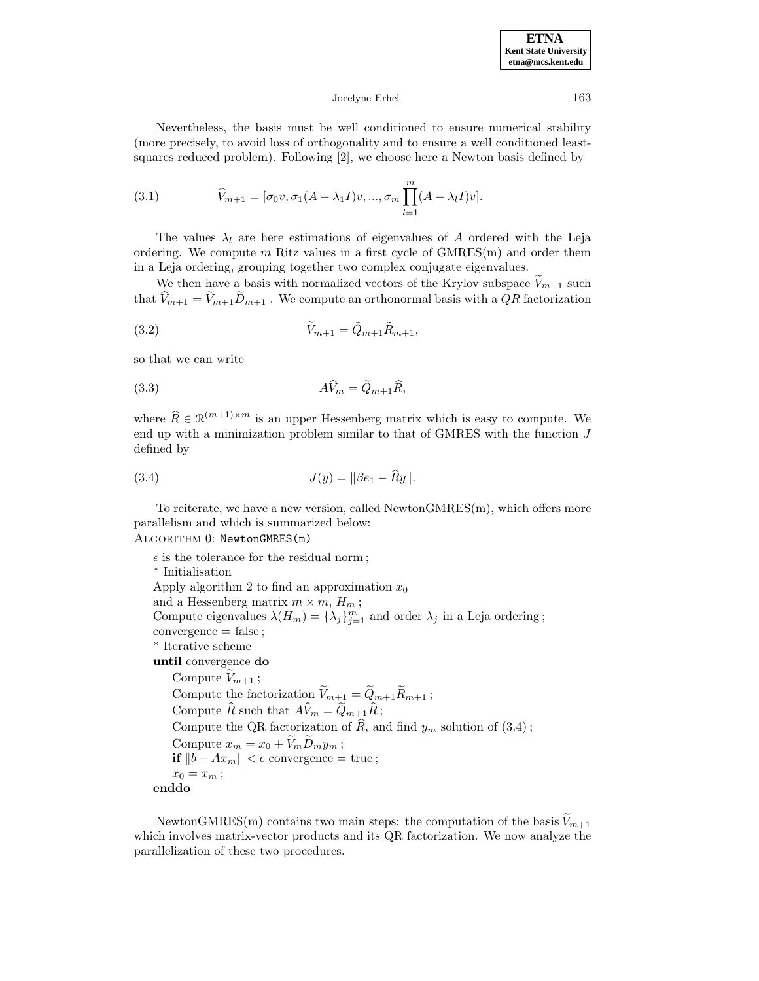Nevertheless, the basis must be well conditioned to ensure numerical stability (more precisely, to avoid loss of orthogonality and to ensure a well conditioned leastsquares reduced problem). Following [2], we choose here a Newton basis defined by

(3.1) 
$$
\widehat{V}_{m+1} = [\sigma_0 v, \sigma_1 (A - \lambda_1 I) v, ..., \sigma_m \prod_{l=1}^m (A - \lambda_l I) v].
$$

The values  $\lambda_l$  are here estimations of eigenvalues of A ordered with the Leja ordering. We compute  $m$  Ritz values in a first cycle of  $GMRES(m)$  and order them in a Leja ordering, grouping together two complex conjugate eigenvalues.

We then have a basis with normalized vectors of the Krylov subspace  $V_{m+1}$  such that  $\widehat{V}_{m+1} = \widetilde{V}_{m+1}\widetilde{D}_{m+1}$ . We compute an orthonormal basis with a QR factorization

$$
\widetilde{V}_{m+1} = \widetilde{Q}_{m+1}\widetilde{R}_{m+1},
$$

so that we can write

AVb<sup>m</sup> = Qe<sup>m</sup>+1 (3.3) R, b

where  $\widehat{R} \in \mathcal{R}^{(m+1)\times m}$  is an upper Hessenberg matrix which is easy to compute. We end up with a minimization problem similar to that of GMRES with the function  $J$ defined by

(3.4) 
$$
J(y) = ||\beta e_1 - \widehat{R}y||.
$$

To reiterate, we have a new version, called NewtonGMRES(m), which offers more parallelism and which is summarized below:

## Algorithm 0: NewtonGMRES(m)

 $\epsilon$  is the tolerance for the residual norm; \* Initialisation Apply algorithm 2 to find an approximation  $x_0$ and a Hessenberg matrix  $m \times m$ ,  $H_m$ ; Compute eigenvalues  $\lambda(H_m) = {\lambda_j}_{j=1}^m$  and order  $\lambda_j$  in a Leja ordering; convergence = false ; \* Iterative scheme **until** convergence **do** Compute  $V_{m+1}$ ; Compute the factorization  $\widetilde{V}_{m+1} = \widetilde{Q}_{m+1} \widetilde{R}_{m+1}$ ; Compute  $\widehat{R}$  such that  $A\widehat{V}_m = \widetilde{Q}_{m+1}\widehat{R}$ ; Compute the QR factorization of  $\widehat{R}$ , and find  $y_m$  solution of (3.4); Compute  $x_m = x_0 + \widetilde{V}_m \widetilde{D}_m y_m$ ; **if**  $||b - Ax_m|| < \epsilon$  convergence = true;  $x_0 = x_m;$ **enddo**

NewtonGMRES(m) contains two main steps: the computation of the basis  $\widetilde{V}_{m+1}$ which involves matrix-vector products and its QR factorization. We now analyze the parallelization of these two procedures.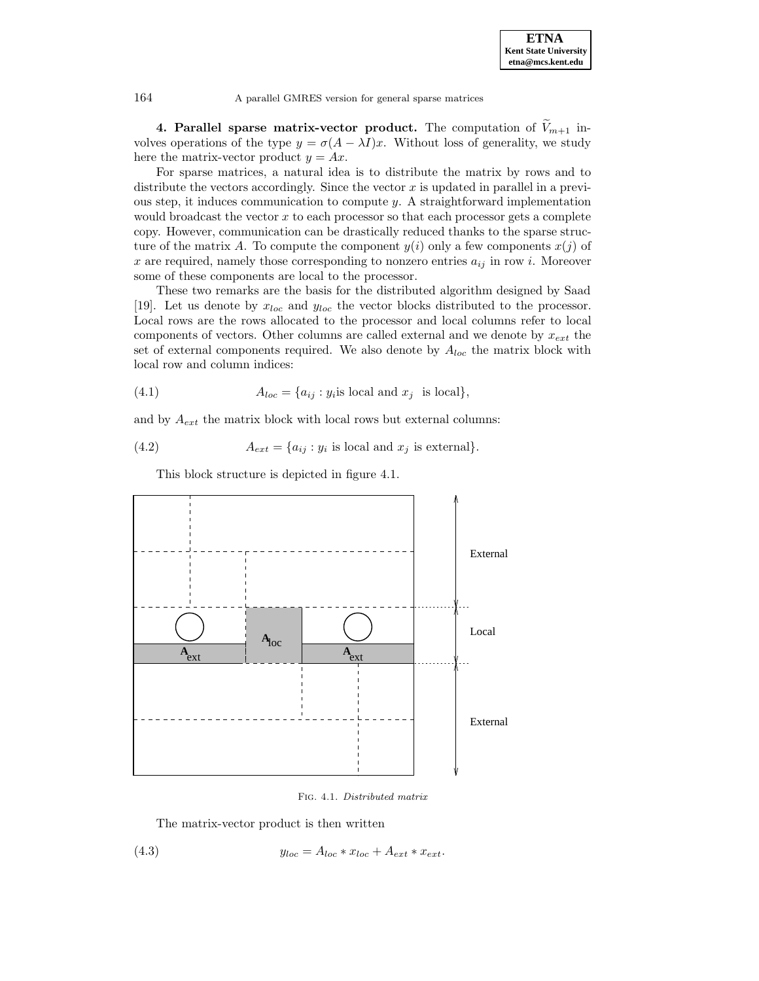**4. Parallel sparse matrix-vector product.** The computation of  $V_{m+1}$  involves operations of the type  $y = \sigma(A - \lambda I)x$ . Without loss of generality, we study here the matrix-vector product  $y = Ax$ .

For sparse matrices, a natural idea is to distribute the matrix by rows and to distribute the vectors accordingly. Since the vector  $x$  is updated in parallel in a previous step, it induces communication to compute  $y$ . A straightforward implementation would broadcast the vector  $x$  to each processor so that each processor gets a complete copy. However, communication can be drastically reduced thanks to the sparse structure of the matrix A. To compute the component  $y(i)$  only a few components  $x(j)$  of x are required, namely those corresponding to nonzero entries  $a_{ij}$  in row i. Moreover some of these components are local to the processor.

These two remarks are the basis for the distributed algorithm designed by Saad [19]. Let us denote by  $x_{loc}$  and  $y_{loc}$  the vector blocks distributed to the processor. Local rows are the rows allocated to the processor and local columns refer to local components of vectors. Other columns are called external and we denote by  $x_{ext}$  the set of external components required. We also denote by  $A_{loc}$  the matrix block with local row and column indices:

(4.1) 
$$
A_{loc} = \{a_{ij} : y_i \text{ is local and } x_j \text{ is local}\},
$$

and by  $A_{ext}$  the matrix block with local rows but external columns:

(4.2) 
$$
A_{ext} = \{a_{ij} : y_i \text{ is local and } x_j \text{ is external}\}.
$$

This block structure is depicted in figure 4.1.



Fig. 4.1. Distributed matrix

The matrix-vector product is then written

$$
(4.3) \t yloc = Aloc * xloc + Aext * xext.
$$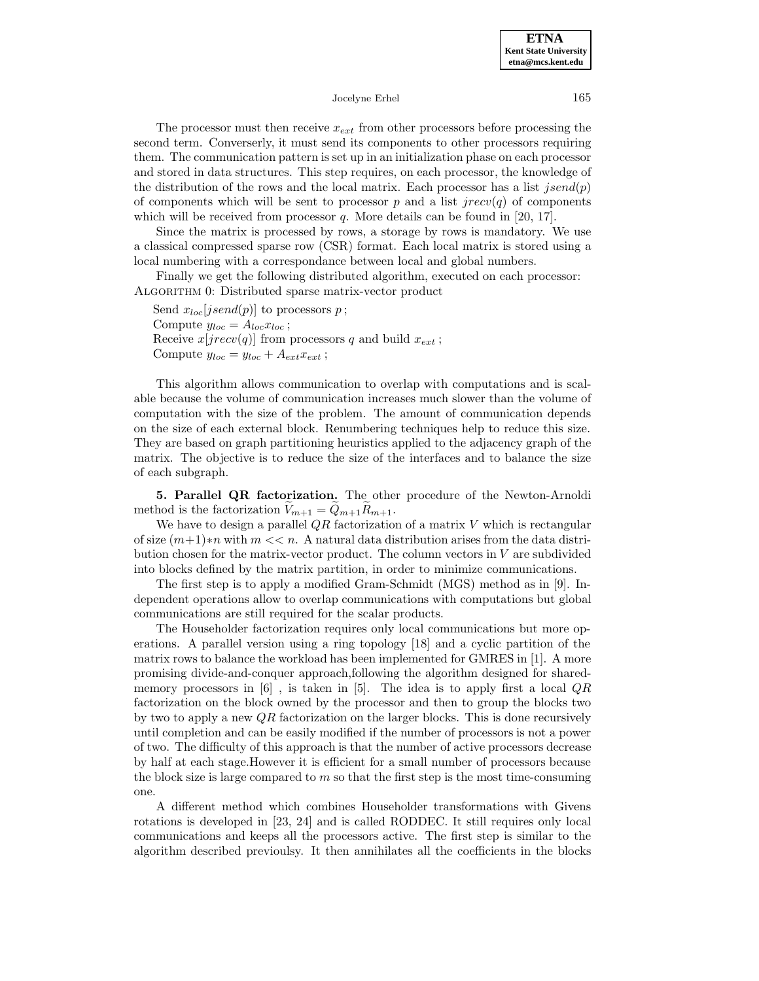The processor must then receive  $x_{ext}$  from other processors before processing the second term. Converserly, it must send its components to other processors requiring them. The communication pattern is set up in an initialization phase on each processor and stored in data structures. This step requires, on each processor, the knowledge of the distribution of the rows and the local matrix. Each processor has a list  $jsend(p)$ of components which will be sent to processor p and a list  $\text{prec}(q)$  of components which will be received from processor  $q$ . More details can be found in [20, 17].

Since the matrix is processed by rows, a storage by rows is mandatory. We use a classical compressed sparse row (CSR) format. Each local matrix is stored using a local numbering with a correspondance between local and global numbers.

Finally we get the following distributed algorithm, executed on each processor: ALGORITHM 0: Distributed sparse matrix-vector product

Send  $x_{loc}[jsend(p)]$  to processors p; Compute  $y_{loc} = A_{loc} x_{loc}$ ; Receive  $x[jrecv(q)]$  from processors q and build  $x_{ext}$ ; Compute  $y_{loc} = y_{loc} + A_{ext}x_{ext}$ ;

This algorithm allows communication to overlap with computations and is scalable because the volume of communication increases much slower than the volume of computation with the size of the problem. The amount of communication depends on the size of each external block. Renumbering techniques help to reduce this size. They are based on graph partitioning heuristics applied to the adjacency graph of the matrix. The objective is to reduce the size of the interfaces and to balance the size of each subgraph.

**5. Parallel QR factorization.** The other procedure of the Newton-Arnoldi method is the factorization  $\widetilde{V}_{m+1} = \widetilde{Q}_{m+1} R_{m+1}.$ 

We have to design a parallel  $QR$  factorization of a matrix  $V$  which is rectangular of size  $(m+1) * n$  with  $m \ll n$ . A natural data distribution arises from the data distribution chosen for the matrix-vector product. The column vectors in V are subdivided into blocks defined by the matrix partition, in order to minimize communications.

The first step is to apply a modified Gram-Schmidt (MGS) method as in [9]. Independent operations allow to overlap communications with computations but global communications are still required for the scalar products.

The Householder factorization requires only local communications but more operations. A parallel version using a ring topology [18] and a cyclic partition of the matrix rows to balance the workload has been implemented for GMRES in [1]. A more promising divide-and-conquer approach,following the algorithm designed for sharedmemory processors in  $[6]$ , is taken in  $[5]$ . The idea is to apply first a local  $QR$ factorization on the block owned by the processor and then to group the blocks two by two to apply a new  $\mathbb{Q}R$  factorization on the larger blocks. This is done recursively until completion and can be easily modified if the number of processors is not a power of two. The difficulty of this approach is that the number of active processors decrease by half at each stage.However it is efficient for a small number of processors because the block size is large compared to  $m$  so that the first step is the most time-consuming one.

A different method which combines Householder transformations with Givens rotations is developed in [23, 24] and is called RODDEC. It still requires only local communications and keeps all the processors active. The first step is similar to the algorithm described previoulsy. It then annihilates all the coefficients in the blocks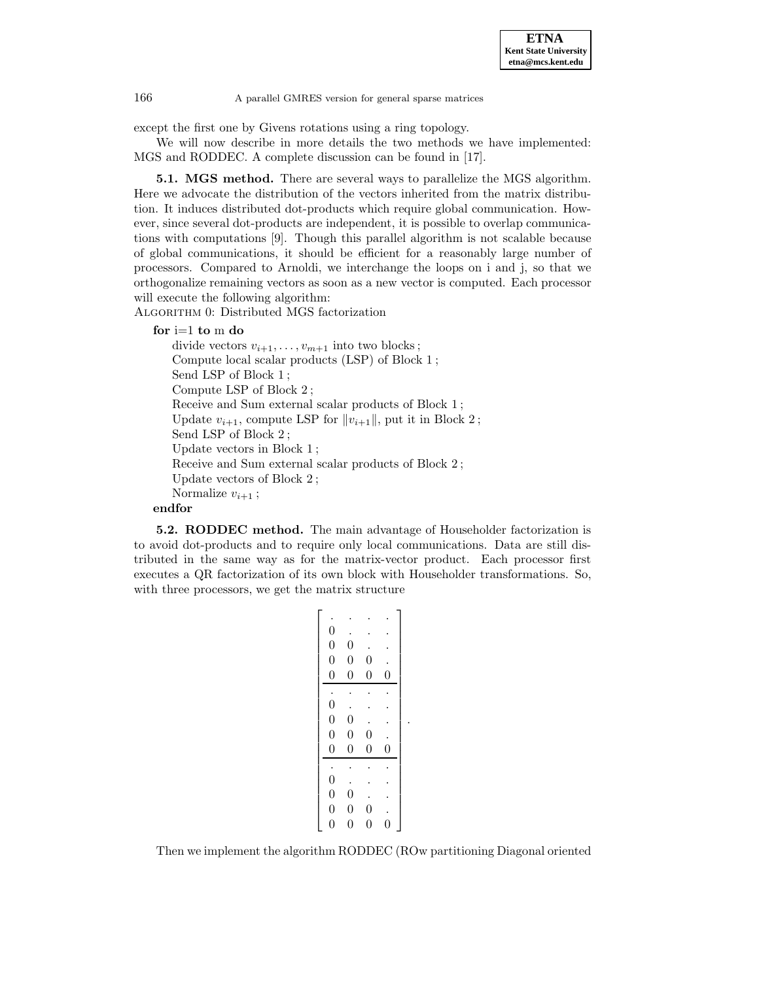

except the first one by Givens rotations using a ring topology.

We will now describe in more details the two methods we have implemented: MGS and RODDEC. A complete discussion can be found in [17].

**5.1. MGS method.** There are several ways to parallelize the MGS algorithm. Here we advocate the distribution of the vectors inherited from the matrix distribution. It induces distributed dot-products which require global communication. However, since several dot-products are independent, it is possible to overlap communications with computations [9]. Though this parallel algorithm is not scalable because of global communications, it should be efficient for a reasonably large number of processors. Compared to Arnoldi, we interchange the loops on i and j, so that we orthogonalize remaining vectors as soon as a new vector is computed. Each processor will execute the following algorithm:

ALGORITHM 0: Distributed MGS factorization

**for** i=1 **to** m **do**

```
divide vectors v_{i+1}, \ldots, v_{m+1} into two blocks;
   Compute local scalar products (LSP) of Block 1 ;
   Send LSP of Block 1 ;
   Compute LSP of Block 2 ;
   Receive and Sum external scalar products of Block 1 ;
   Update v_{i+1}, compute LSP for ||v_{i+1}||, put it in Block 2;
   Send LSP of Block 2 ;
   Update vectors in Block 1 ;
   Receive and Sum external scalar products of Block 2 ;
   Update vectors of Block 2 ;
   Normalize v_{i+1};
endfor
```
**5.2. RODDEC method.** The main advantage of Householder factorization is to avoid dot-products and to require only local communications. Data are still distributed in the same way as for the matrix-vector product. Each processor first executes a QR factorization of its own block with Householder transformations. So, with three processors, we get the matrix structure

| $\boldsymbol{0}$ |                                      |                  |                |  |
|------------------|--------------------------------------|------------------|----------------|--|
|                  | $\overline{0}$                       |                  |                |  |
| $\boldsymbol{0}$ | $\boldsymbol{0}$                     | $\boldsymbol{0}$ |                |  |
| $\overline{0}$   | $\overline{0}$                       | $\boldsymbol{0}$ | $\overline{0}$ |  |
|                  |                                      |                  |                |  |
|                  |                                      |                  |                |  |
| $\overline{0}$   | $\overline{0}$                       |                  |                |  |
| $\boldsymbol{0}$ | $\overline{0}$                       | $\overline{0}$   |                |  |
| $\boldsymbol{0}$ | $\overline{0}$                       | $\boldsymbol{0}$ | 0              |  |
|                  |                                      |                  |                |  |
| $\boldsymbol{0}$ |                                      |                  |                |  |
| $\overline{0}$   | $\overline{0}$                       |                  |                |  |
| $\boldsymbol{0}$ | $\overline{0}$                       | $\overline{0}$   |                |  |
| $\overline{0}$   | $\overline{0}$                       | $\overline{0}$   | 0              |  |
|                  | $\boldsymbol{0}$<br>$\boldsymbol{0}$ |                  |                |  |

Then we implement the algorithm RODDEC (ROw partitioning Diagonal oriented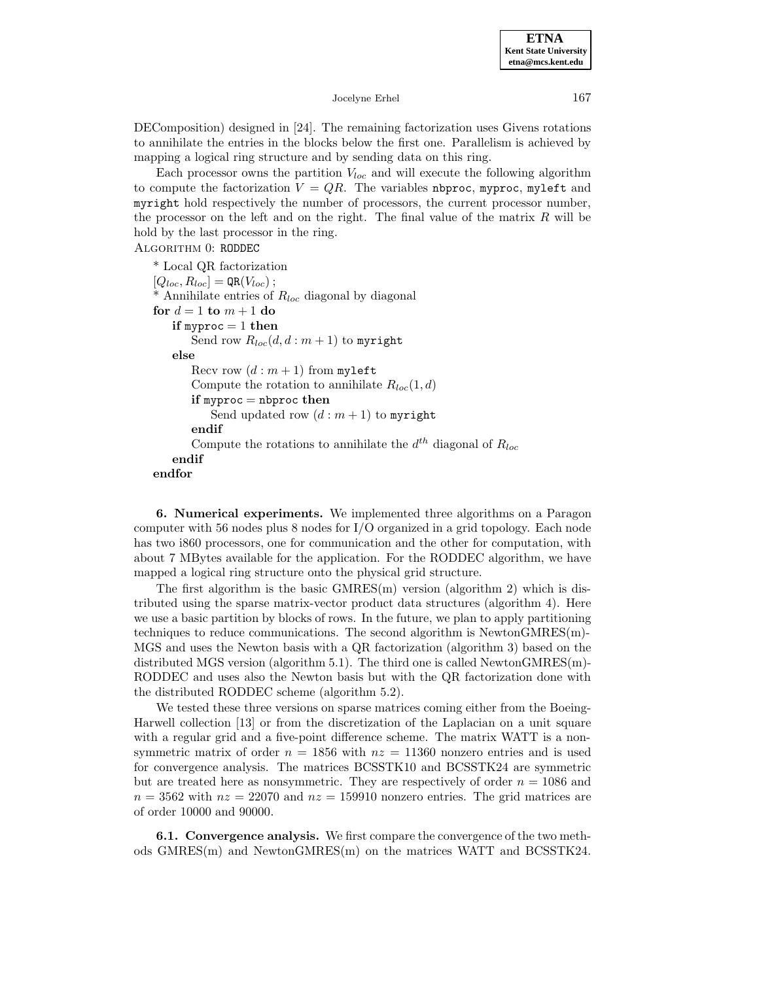DEComposition) designed in [24]. The remaining factorization uses Givens rotations to annihilate the entries in the blocks below the first one. Parallelism is achieved by mapping a logical ring structure and by sending data on this ring.

Each processor owns the partition  $V_{loc}$  and will execute the following algorithm to compute the factorization  $V = QR$ . The variables nbproc, myproc, myleft and myright hold respectively the number of processors, the current processor number, the processor on the left and on the right. The final value of the matrix  $R$  will be hold by the last processor in the ring.

### Algorithm 0: RODDEC

\* Local QR factorization  $[Q_{loc}, R_{loc}] = \mathsf{QR}(V_{loc})$ ;  $*$  Annihilate entries of  $R_{loc}$  diagonal by diagonal **for**  $d = 1$  **to**  $m + 1$  **do if** myproc = 1 **then** Send row  $R_{loc}(d, d : m + 1)$  to myright **else** Recv row  $(d : m + 1)$  from myleft Compute the rotation to annihilate  $R_{loc}(1, d)$ **if** myproc = nbproc **then** Send updated row  $(d : m + 1)$  to myright **endif** Compute the rotations to annihilate the  $d^{th}$  diagonal of  $R_{loc}$ **endif endfor**

**6. Numerical experiments.** We implemented three algorithms on a Paragon computer with 56 nodes plus 8 nodes for I/O organized in a grid topology. Each node has two i860 processors, one for communication and the other for computation, with about 7 MBytes available for the application. For the RODDEC algorithm, we have mapped a logical ring structure onto the physical grid structure.

The first algorithm is the basic GMRES(m) version (algorithm 2) which is distributed using the sparse matrix-vector product data structures (algorithm 4). Here we use a basic partition by blocks of rows. In the future, we plan to apply partitioning techniques to reduce communications. The second algorithm is NewtonGMRES(m)- MGS and uses the Newton basis with a QR factorization (algorithm 3) based on the distributed MGS version (algorithm 5.1). The third one is called NewtonGMRES(m)- RODDEC and uses also the Newton basis but with the QR factorization done with the distributed RODDEC scheme (algorithm 5.2).

We tested these three versions on sparse matrices coming either from the Boeing-Harwell collection [13] or from the discretization of the Laplacian on a unit square with a regular grid and a five-point difference scheme. The matrix WATT is a nonsymmetric matrix of order  $n = 1856$  with  $nz = 11360$  nonzero entries and is used for convergence analysis. The matrices BCSSTK10 and BCSSTK24 are symmetric but are treated here as nonsymmetric. They are respectively of order  $n = 1086$  and  $n = 3562$  with  $nz = 22070$  and  $nz = 159910$  nonzero entries. The grid matrices are of order 10000 and 90000.

**6.1. Convergence analysis.** We first compare the convergence of the two methods GMRES(m) and NewtonGMRES(m) on the matrices WATT and BCSSTK24.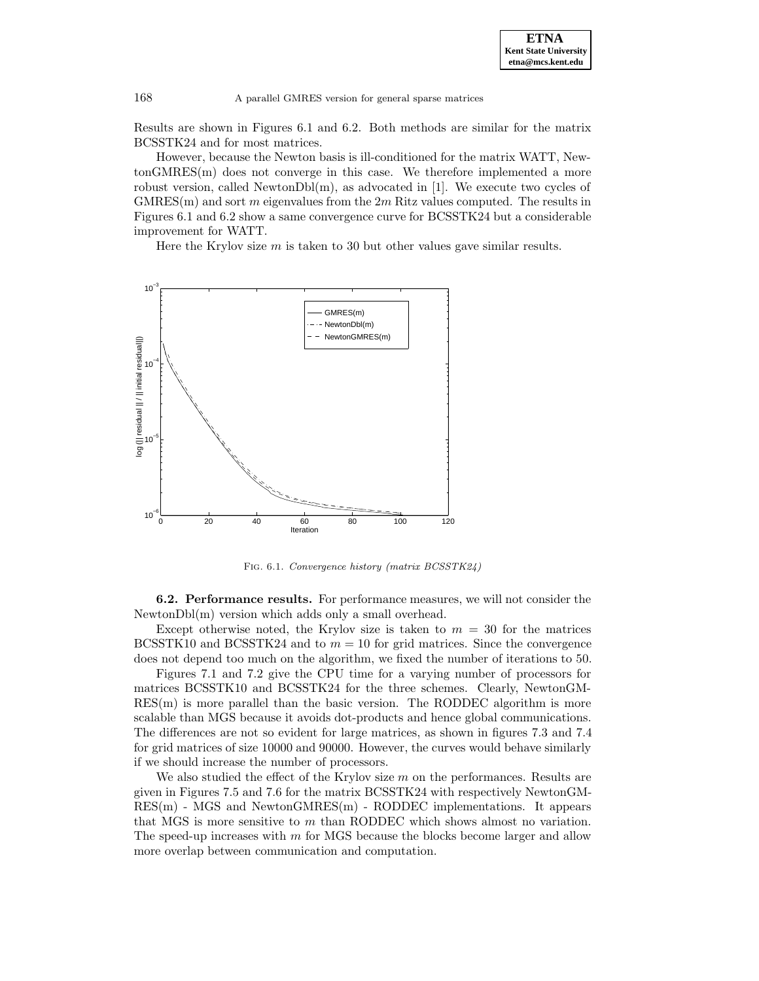

Results are shown in Figures 6.1 and 6.2. Both methods are similar for the matrix BCSSTK24 and for most matrices.

However, because the Newton basis is ill-conditioned for the matrix WATT, NewtonGMRES(m) does not converge in this case. We therefore implemented a more robust version, called NewtonDbl(m), as advocated in [1]. We execute two cycles of  $GMRES(m)$  and sort m eigenvalues from the  $2m$  Ritz values computed. The results in Figures 6.1 and 6.2 show a same convergence curve for BCSSTK24 but a considerable improvement for WATT.

Here the Krylov size  $m$  is taken to 30 but other values gave similar results.



Fig. 6.1. Convergence history (matrix BCSSTK24)

**6.2. Performance results.** For performance measures, we will not consider the NewtonDbl(m) version which adds only a small overhead.

Except otherwise noted, the Krylov size is taken to  $m = 30$  for the matrices BCSSTK10 and BCSSTK24 and to  $m = 10$  for grid matrices. Since the convergence does not depend too much on the algorithm, we fixed the number of iterations to 50.

Figures 7.1 and 7.2 give the CPU time for a varying number of processors for matrices BCSSTK10 and BCSSTK24 for the three schemes. Clearly, NewtonGM-RES(m) is more parallel than the basic version. The RODDEC algorithm is more scalable than MGS because it avoids dot-products and hence global communications. The differences are not so evident for large matrices, as shown in figures 7.3 and 7.4 for grid matrices of size 10000 and 90000. However, the curves would behave similarly if we should increase the number of processors.

We also studied the effect of the Krylov size  $m$  on the performances. Results are given in Figures 7.5 and 7.6 for the matrix BCSSTK24 with respectively NewtonGM-RES(m) - MGS and NewtonGMRES(m) - RODDEC implementations. It appears that MGS is more sensitive to m than RODDEC which shows almost no variation. The speed-up increases with m for MGS because the blocks become larger and allow more overlap between communication and computation.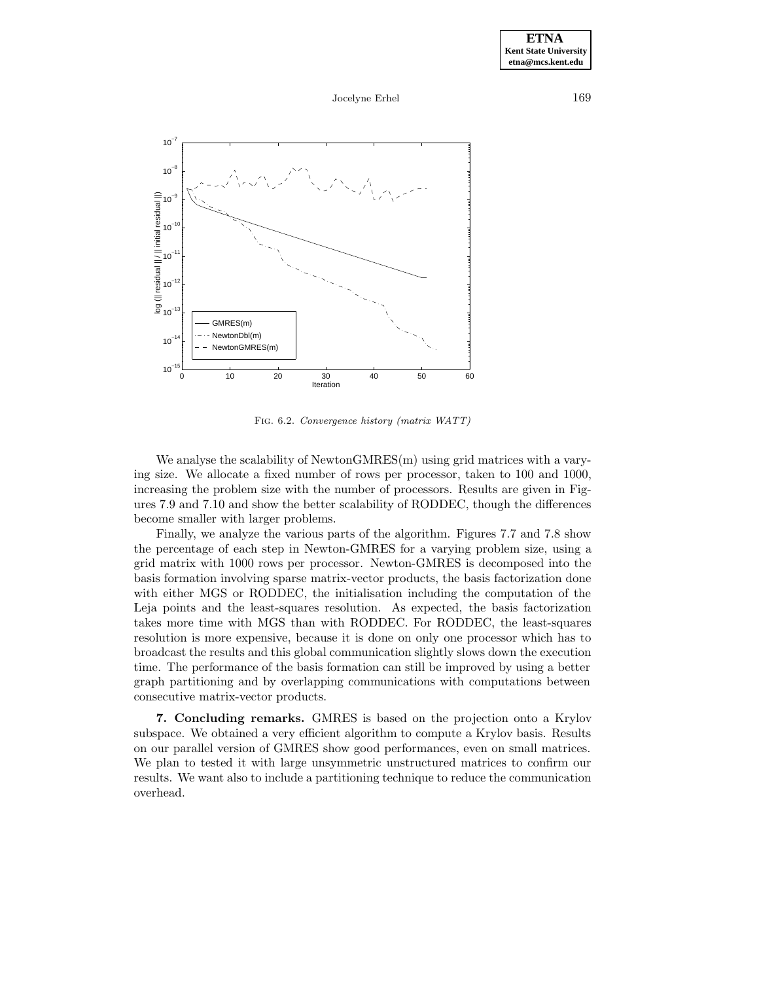

Fig. 6.2. Convergence history (matrix WATT)

We analyse the scalability of NewtonGMRES(m) using grid matrices with a varying size. We allocate a fixed number of rows per processor, taken to 100 and 1000, increasing the problem size with the number of processors. Results are given in Figures 7.9 and 7.10 and show the better scalability of RODDEC, though the differences become smaller with larger problems.

Finally, we analyze the various parts of the algorithm. Figures 7.7 and 7.8 show the percentage of each step in Newton-GMRES for a varying problem size, using a grid matrix with 1000 rows per processor. Newton-GMRES is decomposed into the basis formation involving sparse matrix-vector products, the basis factorization done with either MGS or RODDEC, the initialisation including the computation of the Leja points and the least-squares resolution. As expected, the basis factorization takes more time with MGS than with RODDEC. For RODDEC, the least-squares resolution is more expensive, because it is done on only one processor which has to broadcast the results and this global communication slightly slows down the execution time. The performance of the basis formation can still be improved by using a better graph partitioning and by overlapping communications with computations between consecutive matrix-vector products.

**7. Concluding remarks.** GMRES is based on the projection onto a Krylov subspace. We obtained a very efficient algorithm to compute a Krylov basis. Results on our parallel version of GMRES show good performances, even on small matrices. We plan to tested it with large unsymmetric unstructured matrices to confirm our results. We want also to include a partitioning technique to reduce the communication overhead.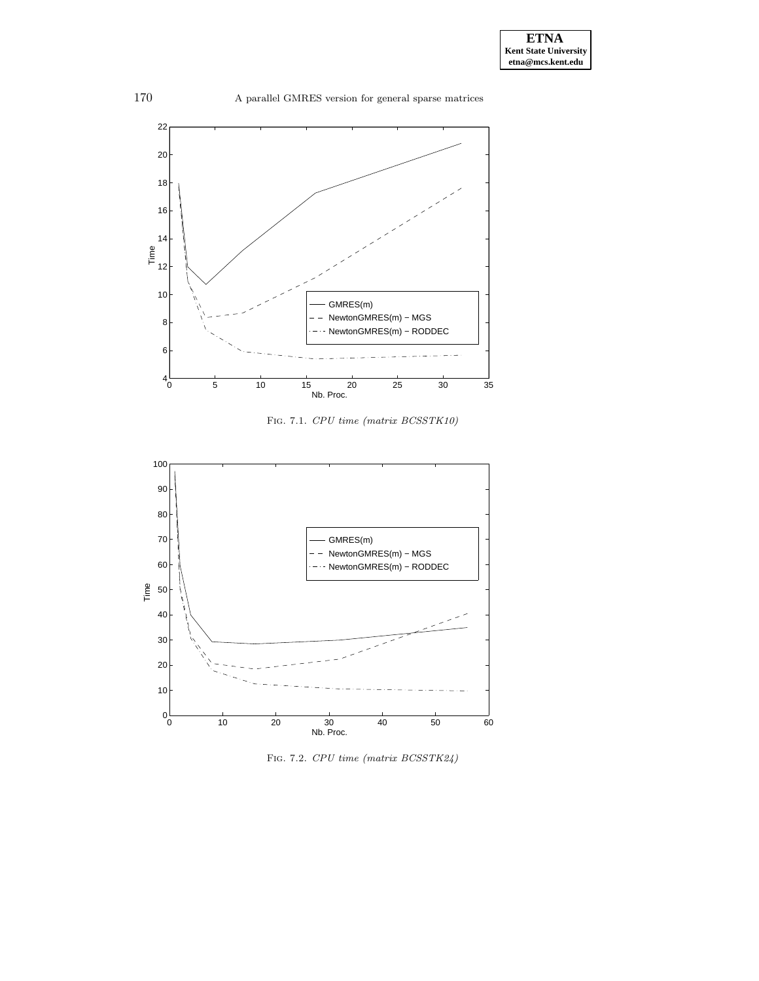

Fig. 7.1. CPU time (matrix BCSSTK10)



Fig. 7.2. CPU time (matrix BCSSTK24)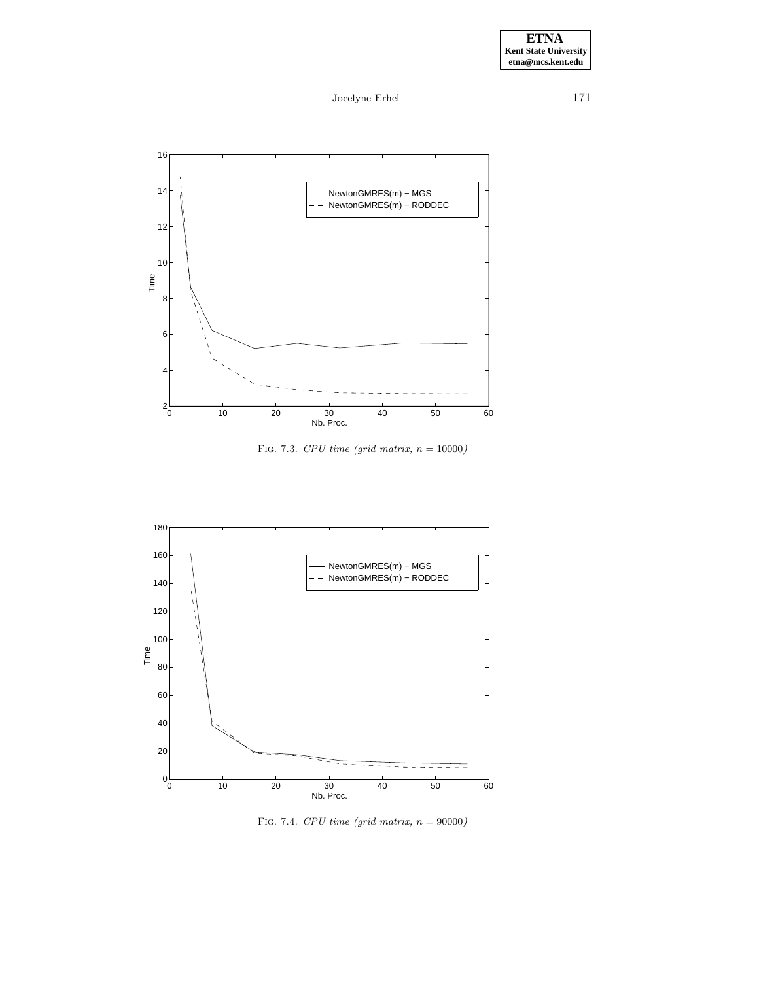

FIG. 7.3.  $CPU\ time\ (grid\ matrix,\ n=10000)$ 



FIG. 7.4.  $CPU\ time\ (grid\ matrix,\ n=90000)$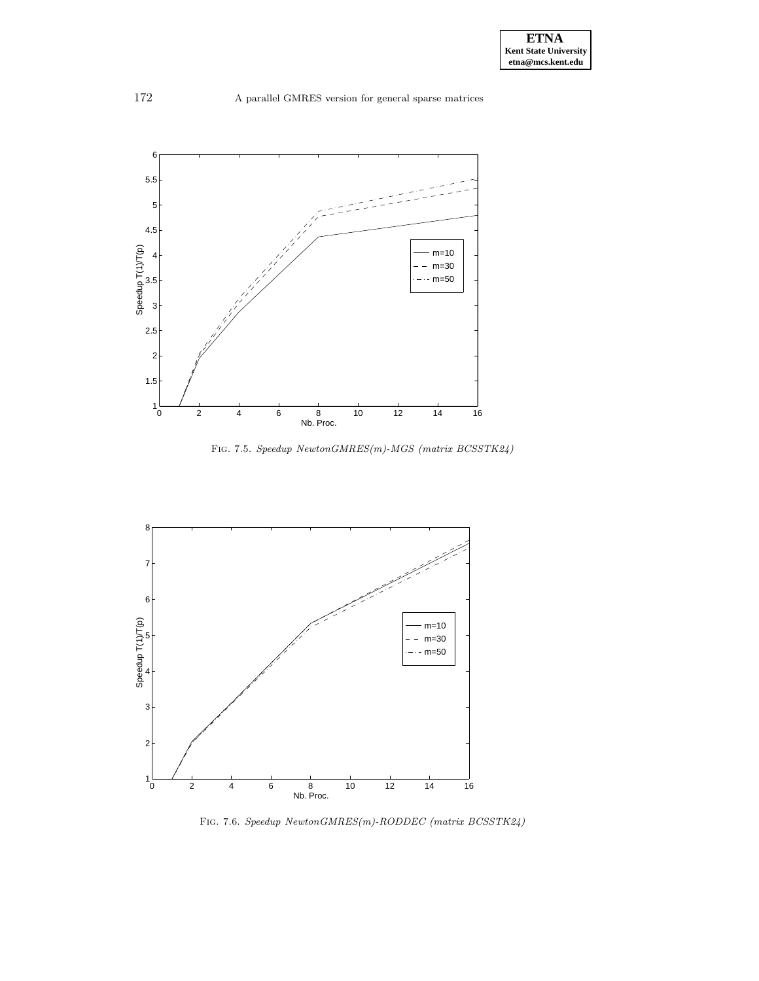

FIG. 7.5.  $Speedup\ NewtonGMRES(m)\mbox{-}MGS$   $(matrix\ BCSSTK24)$ 



Fig. 7.6. Speedup NewtonGMRES(m)-RODDEC (matrix BCSSTK24)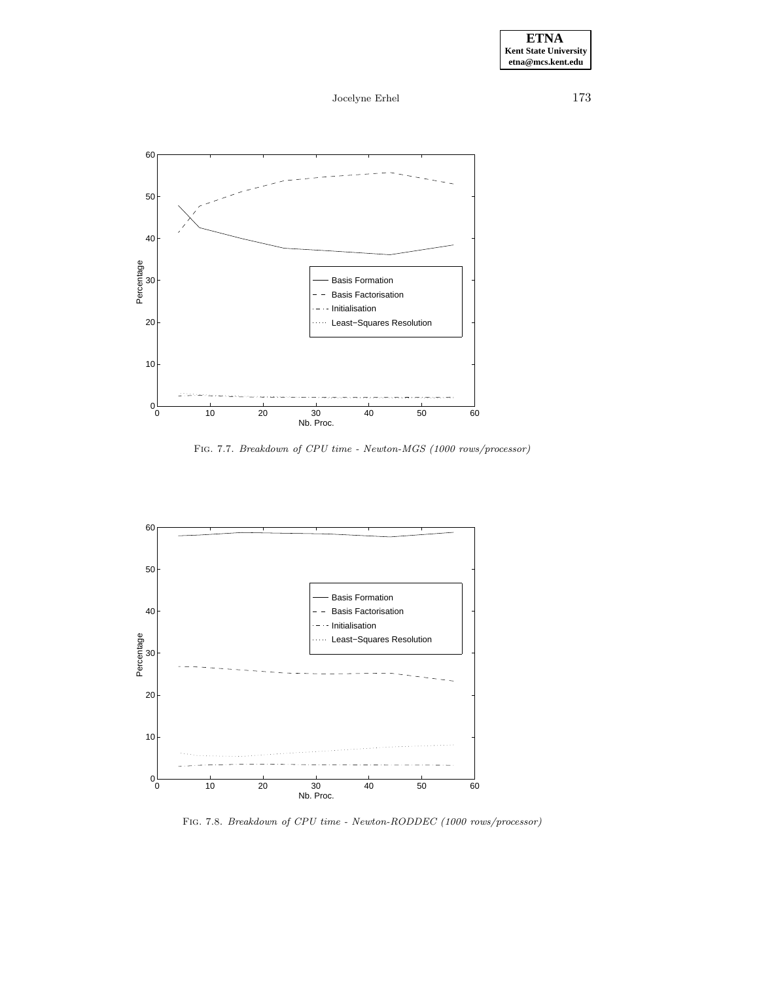Jocelyne Erhel 173



Fig. 7.7. Breakdown of CPU time - Newton-MGS (1000 rows/processor)



Fig. 7.8. Breakdown of CPU time - Newton-RODDEC (1000 rows/processor)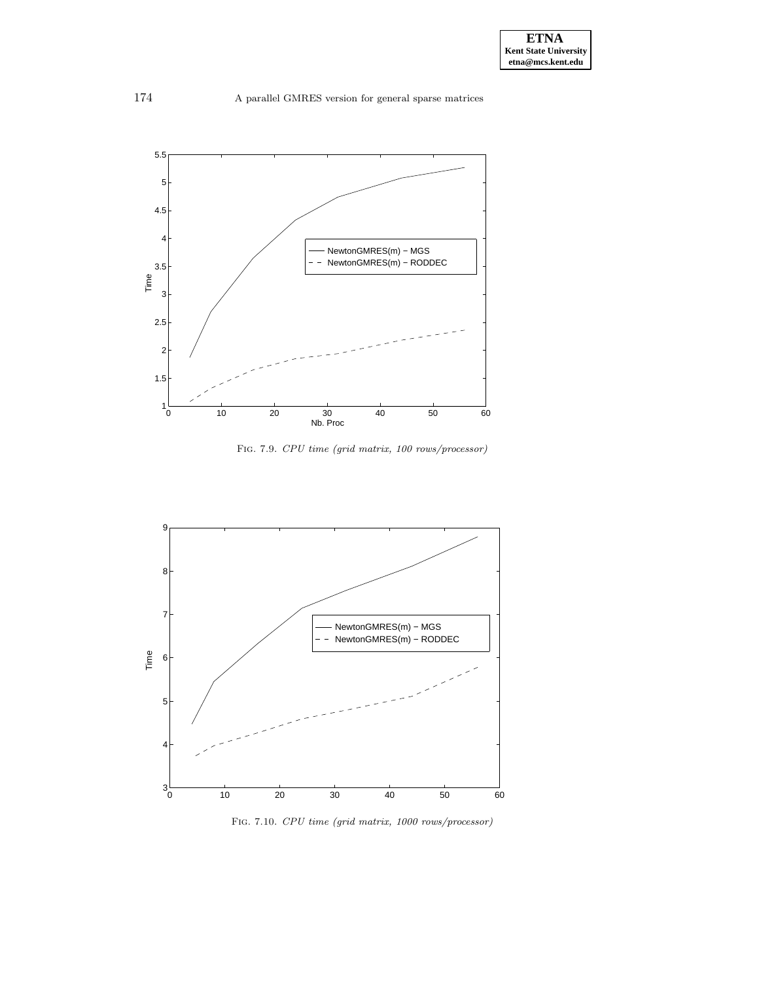

Fig. 7.9. CPU time (grid matrix, 100 rows/processor)



Fig. 7.10. CPU time (grid matrix, 1000 rows/processor)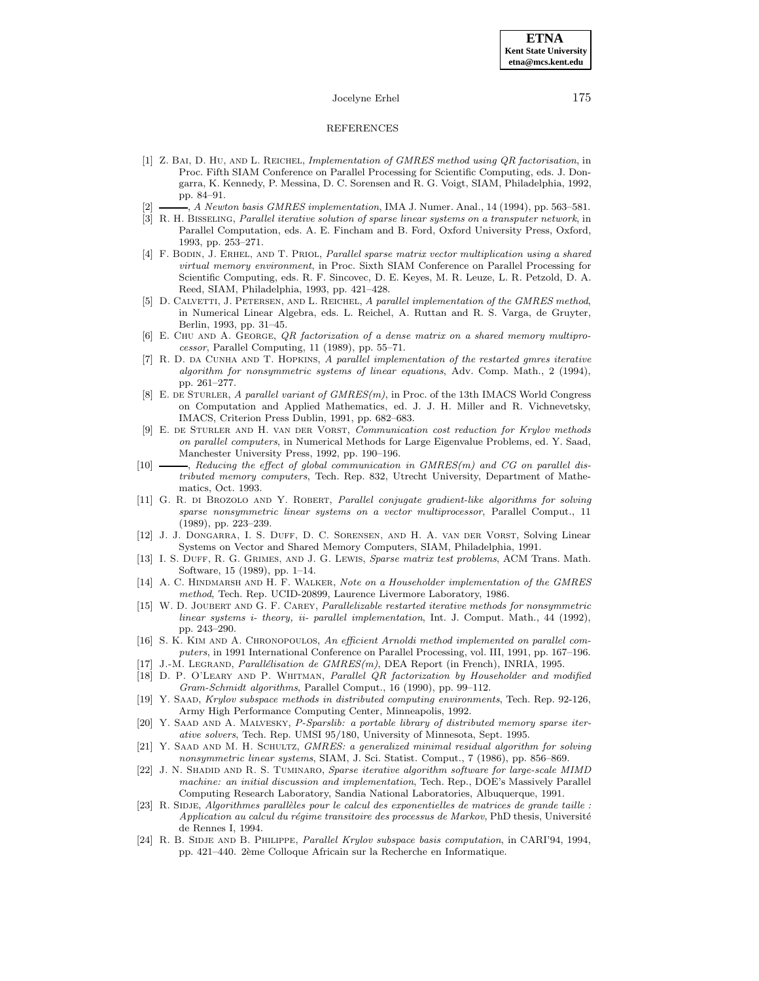### REFERENCES

- [1] Z. Bai, D. Hu, and L. Reichel, Implementation of GMRES method using QR factorisation, in Proc. Fifth SIAM Conference on Parallel Processing for Scientific Computing, eds. J. Dongarra, K. Kennedy, P. Messina, D. C. Sorensen and R. G. Voigt, SIAM, Philadelphia, 1992, pp. 84–91.
- [2] , A Newton basis GMRES implementation, IMA J. Numer. Anal., 14 (1994), pp. 563–581.
- [3] R. H. Bisseling, Parallel iterative solution of sparse linear systems on a transputer network, in Parallel Computation, eds. A. E. Fincham and B. Ford, Oxford University Press, Oxford, 1993, pp. 253–271.
- [4] F. Bodin, J. Erhel, and T. Priol, Parallel sparse matrix vector multiplication using a shared virtual memory environment, in Proc. Sixth SIAM Conference on Parallel Processing for Scientific Computing, eds. R. F. Sincovec, D. E. Keyes, M. R. Leuze, L. R. Petzold, D. A. Reed, SIAM, Philadelphia, 1993, pp. 421–428.
- [5] D. CALVETTI, J. PETERSEN, AND L. REICHEL, A parallel implementation of the GMRES method, in Numerical Linear Algebra, eds. L. Reichel, A. Ruttan and R. S. Varga, de Gruyter, Berlin, 1993, pp. 31–45.
- [6] E. CHU AND A. GEORGE, *QR* factorization of a dense matrix on a shared memory multiprocessor, Parallel Computing, 11 (1989), pp. 55–71.
- [7] R. D. DA CUNHA AND T. HOPKINS, A parallel implementation of the restarted gmres iterative algorithm for nonsymmetric systems of linear equations, Adv. Comp. Math., 2 (1994), pp. 261–277.
- [8] E. de Sturler, A parallel variant of GMRES(m), in Proc. of the 13th IMACS World Congress on Computation and Applied Mathematics, ed. J. J. H. Miller and R. Vichnevetsky, IMACS, Criterion Press Dublin, 1991, pp. 682–683.
- [9] E. de Sturler and H. van der Vorst, Communication cost reduction for Krylov methods on parallel computers, in Numerical Methods for Large Eigenvalue Problems, ed. Y. Saad, Manchester University Press, 1992, pp. 190–196.
- [10]  $\_\_\_\_\$ , Reducing the effect of global communication in GMRES(m) and CG on parallel distributed memory computers, Tech. Rep. 832, Utrecht University, Department of Mathematics, Oct. 1993.
- [11] G. R. di Brozolo and Y. Robert, Parallel conjugate gradient-like algorithms for solving sparse nonsymmetric linear systems on a vector multiprocessor, Parallel Comput., 11 (1989), pp. 223–239.
- [12] J. J. Dongarra, I. S. Duff, D. C. Sorensen, and H. A. van der Vorst, Solving Linear Systems on Vector and Shared Memory Computers, SIAM, Philadelphia, 1991.
- [13] I. S. DUFF, R. G. GRIMES, AND J. G. LEWIS, Sparse matrix test problems, ACM Trans. Math. Software, 15 (1989), pp. 1–14.
- [14] A. C. HINDMARSH AND H. F. WALKER, Note on a Householder implementation of the GMRES method, Tech. Rep. UCID-20899, Laurence Livermore Laboratory, 1986.
- [15] W. D. Joubert and G. F. Carey, Parallelizable restarted iterative methods for nonsymmetric linear systems i- theory, ii- parallel implementation, Int. J. Comput. Math., 44 (1992), pp. 243–290.
- [16] S. K. KIM AND A. CHRONOPOULOS, An efficient Arnoldi method implemented on parallel computers, in 1991 International Conference on Parallel Processing, vol. III, 1991, pp. 167–196.
- [17] J.-M. LEGRAND, Parallélisation de  $GMRES(m)$ , DEA Report (in French), INRIA, 1995.
- [18] D. P. O'Leary and P. Whitman, Parallel QR factorization by Householder and modified Gram-Schmidt algorithms, Parallel Comput., 16 (1990), pp. 99–112.
- [19] Y. Saad, Krylov subspace methods in distributed computing environments, Tech. Rep. 92-126, Army High Performance Computing Center, Minneapolis, 1992.
- [20] Y. SAAD AND A. MALVESKY, P-Sparslib: a portable library of distributed memory sparse iterative solvers, Tech. Rep. UMSI 95/180, University of Minnesota, Sept. 1995.
- [21] Y. SAAD AND M. H. SCHULTZ, GMRES: a generalized minimal residual algorithm for solving nonsymmetric linear systems, SIAM, J. Sci. Statist. Comput., 7 (1986), pp. 856–869.
- [22] J. N. SHADID AND R. S. TUMINARO, Sparse iterative algorithm software for large-scale MIMD machine: an initial discussion and implementation, Tech. Rep., DOE's Massively Parallel Computing Research Laboratory, Sandia National Laboratories, Albuquerque, 1991.
- [23] R. SIDJE, Algorithmes parallèles pour le calcul des exponentielles de matrices de grande taille : Application au calcul du régime transitoire des processus de Markov, PhD thesis, Université de Rennes I, 1994.
- [24] R. B. SIDJE AND B. PHILIPPE, *Parallel Krylov subspace basis computation*, in CARI'94, 1994, pp. 421–440. 2ème Colloque Africain sur la Recherche en Informatique.